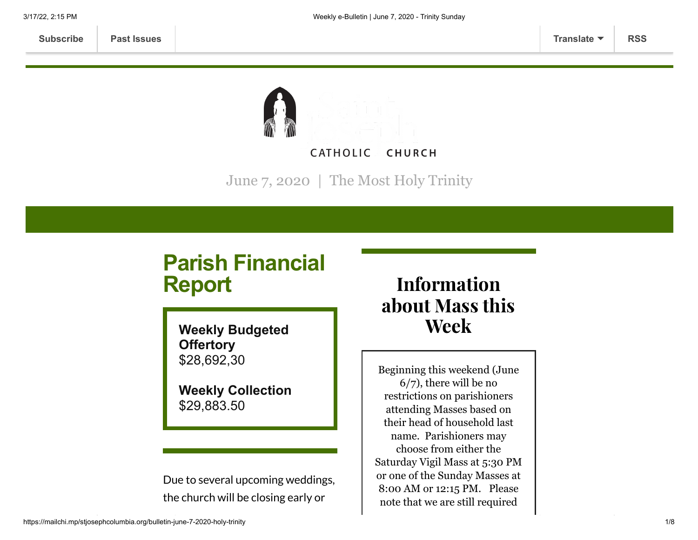

June 7, 2020 | The Most Holy Trinity

# **Parish Financial Report**

**Weekly Budgeted Offertory** \$28,692,30

**Weekly Collection** \$29,883.50

Due to several upcoming weddings, the church will be closing early or

# Information about Mass this Week

Beginning this weekend (June 6/7), there will be no restrictions on parishioners attending Masses based on their head of household last name. Parishioners may choose from either the Saturday Vigil Mass at 5:30 PM or one of the Sunday Masses at 8:00 AM or 12:15 PM. Please note that we are still required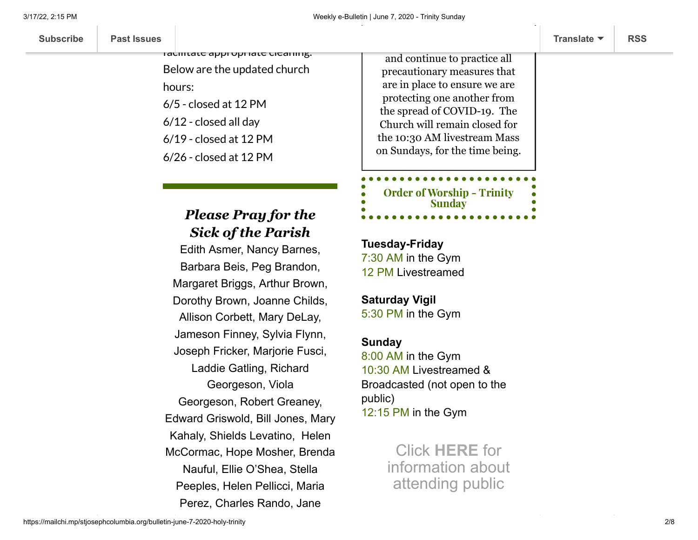| <b>Past Issues</b><br><b>Subscribe</b> | Translate $\blacktriangledown$ | <b>RSS</b> |
|----------------------------------------|--------------------------------|------------|
|----------------------------------------|--------------------------------|------------|

### facilitate appropriate cleaning. Below are the updated church hours: 6/5 - closed at 12 PM 6/12 - closed all day 6/19 - closed at 12 PM 6/26 - closed at 12 PM

will be closed on Fridays to the close

### *Please Pray for the Sick of the Parish*

Edith Asmer, Nancy Barnes, Barbara Beis, Peg Brandon, Margaret Briggs, Arthur Brown, Dorothy Brown, Joanne Childs, Allison Corbett, Mary DeLay, Jameson Finney, Sylvia Flynn, Joseph Fricker, Marjorie Fusci, Laddie Gatling, Richard Georgeson, Viola Georgeson, Robert Greaney, Edward Griswold, Bill Jones, Mary Kahaly, Shields Levatino, Helen McCormac, Hope Mosher, Brenda Nauful, Ellie O'Shea, Stella Peeples, Helen Pellicci, Maria Perez, Charles Rando, Jane

and continue to practice all precautionary measures that are in place to ensure we are protecting one another from the spread of COVID-19. The Church will remain closed for the 10:30 AM livestream Mass on Sundays, for the time being.

[Order of](https://mcusercontent.com/7399f6b35c8ab775fb1714c3d/files/551e064d-d5b9-422d-8fb8-8b8830612b31/OW_Jun_7_2020_Tr_A_Final.pdf) Worship - Trinity Sunday

**Tuesday-Friday** 7:30 AM in the Gym 12 PM Livestreamed

#### **Saturday Vigil** 5:30 PM in the Gym

#### **Sunday**

8:00 AM in the Gym 10:30 AM Livestreamed & Broadcasted (not open to the public) 12:15 PM in the Gym

> Click **[HERE](https://www.stjosephcolumbia.org/resuming-public-masses)** for information about attending public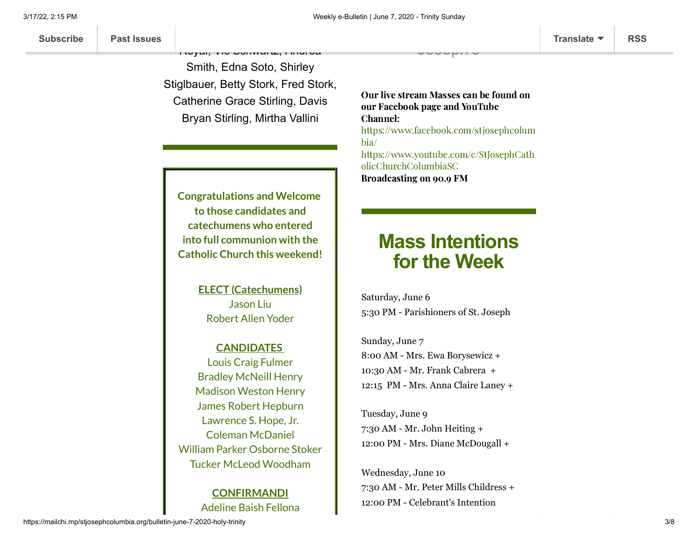Smith, Edna Soto, Shirley Stiglbauer, Betty Stork, Fred Stork, Catherine Grace Stirling, Davis Bryan Stirling, Mirtha Vallini

Rando, Brianne Rodriguez, Ann

Royal, Vic Schwartz, Andrea

Our live stream Masses can be found on our Facebook page and YouTube Channel: [https://www.facebook.com/stjosephcolum](https://www.facebook.com/stjosephcolumbia/) bia/ [https://www.youtube.com/c/StJosephCath](https://www.youtube.com/c/StJosephCatholicChurchColumbiaSC) olicChurchColumbiaSC Broadcasting on 90.9 FM

Joseph's

**Congratulations and Welcome to those candidates and catechumens who entered into full communion with the Catholic Church this weekend!**

> **ELECT (Catechumens)** Jason Liu Robert Allen Yoder

#### **CANDIDATES**

Louis Craig Fulmer Bradley McNeill Henry Madison Weston Henry James Robert Hepburn Lawrence S. Hope, Jr. Coleman McDaniel William Parker Osborne Stoker Tucker McLeod Woodham

#### **CONFIRMANDI** Adeline Baish Fellona

## **Mass Intentions for the Week**

Saturday, June 6 5:30 PM - Parishioners of St. Joseph

Sunday, June 7 8:00 AM - Mrs. Ewa Borysewicz + 10:30 AM - Mr. Frank Cabrera + 12:15 PM - Mrs. Anna Claire Laney +

Tuesday, June 9 7:30 AM - Mr. John Heiting + 12:00 PM - Mrs. Diane McDougall +

Wednesday, June 10 7:30 AM - Mr. Peter Mills Childress + 12:00 PM - Celebrant's Intention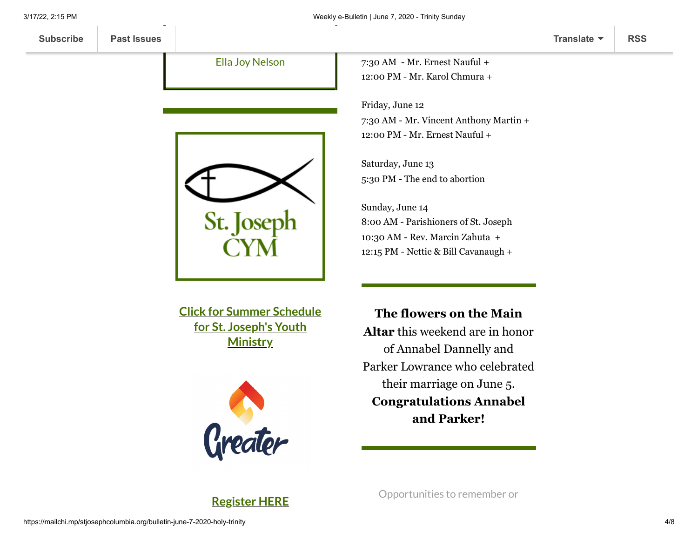Ella Joy Nelson

James Neil Mellen



**Click for Summer Schedule for St. Joseph's Youth [Ministry](https://mcusercontent.com/d4b93555728ca5d7a7e530541/files/bd0bf620-2cda-4681-9e48-eae4d9b0af5e/STJCYM_Summer_2020.pdf)**



7:30 AM - Mr. Ernest Nauful + 12:00 PM - Mr. Karol Chmura +

Friday, June 12 7:30 AM - Mr. Vincent Anthony Martin + 12:00 PM - Mr. Ernest Nauful +

Saturday, June 13 5:30 PM - The end to abortion

Sunday, June 14 8:00 AM - Parishioners of St. Joseph 10:30 AM - Rev. Marcin Zahuta + 12:15 PM - Nettie & Bill Cavanaugh +

**The flowers on the Main Altar** this weekend are in honor of Annabel Dannelly and Parker Lowrance who celebrated their marriage on June 5. **Congratulations Annabel and Parker!**

Opportunities to remember or

**[Register](https://mailchi.mp/65f1c4658b19/stjcym-greater) HERE**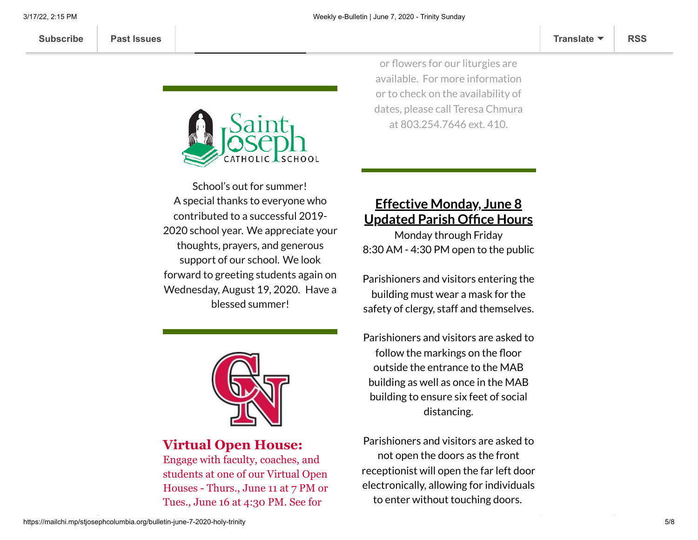

**[Summer](https://mailchi.mp/65f1c4658b19/stjcym-greater) Session One**

School's out for summer! A special thanks to everyone who contributed to a successful 2019- 2020 school year. We appreciate your thoughts, prayers, and generous support of our school. We look forward to greeting students again on Wednesday, August 19, 2020. Have a blessed summer!



#### **Virtual Open House:**

Engage with faculty, coaches, and students at one of our Virtual Open Houses - Thurs., June 11 at 7 PM or Tues., June 16 at 4:30 PM. See for

or flowers for our liturgies are available. For more information or to check on the availability of dates, please call Teresa Chmura at 803.254.7646 ext. 410.

occasions with Mass intentions

#### **Effective Monday, June 8 Updated Parish Office Hours**

Monday through Friday 8:30 AM - 4:30 PM open to the public

Parishioners and visitors entering the building must wear a mask for the safety of clergy, staff and themselves.

Parishioners and visitors are asked to follow the markings on the floor outside the entrance to the MAB building as well as once in the MAB building to ensure six feet of social distancing.

Parishioners and visitors are asked to not open the doors as the front receptionist will open the far left door electronically, allowing for individuals to enter without touching doors.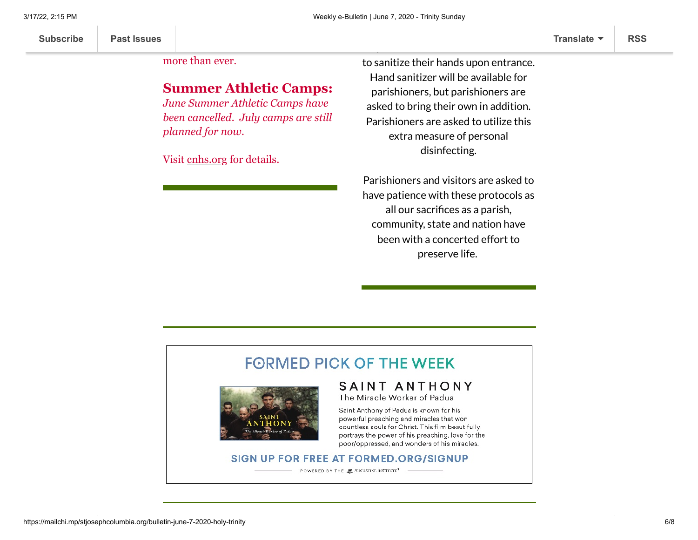**[Subscribe](http://eepurl.com/ded6Lz) [Past Issues](https://us9.campaign-archive.com/home/?u=7399f6b35c8ab775fb1714c3d&id=770b4a80d3) [Translate](javascript:;) [RSS](https://us9.campaign-archive.com/feed?u=7399f6b35c8ab775fb1714c3d&id=770b4a80d3)**

choosing Cardinal Newman now

more than ever.

#### **Summer Athletic Camps:**

yourself why more families are

*June Summer Athletic Camps have been cancelled. July camps are still planned for now.*

|  |  |  | Visit cnhs.org for details. |
|--|--|--|-----------------------------|
|  |  |  |                             |
|  |  |  |                             |

to sanitize their hands upon entrance. Hand sanitizer will be available for parishioners, but parishioners are asked to bring their own in addition. Parishioners are asked to utilize this extra measure of personal disinfecting.

All parishioners and visitors are asked

Parishioners and visitors are asked to have patience with these protocols as all our sacrifices as a parish, community, state and nation have been with a concerted effort to preserve life.

#### **FORMED PICK OF THE WEEK** SAINT ANTHONY The Miracle Worker of Padua Saint Anthony of Padua is known for his powerful preaching and miracles that won countless souls for Christ. This film beautifully portrays the power of his preaching, love for the poor/oppressed, and wonders of his miracles.

#### SIGN UP FOR FREE AT FORMED.ORG/SIGNUP

POWERED BY THE 2 ANGUSTINIUNSTRITE<sup>8</sup> --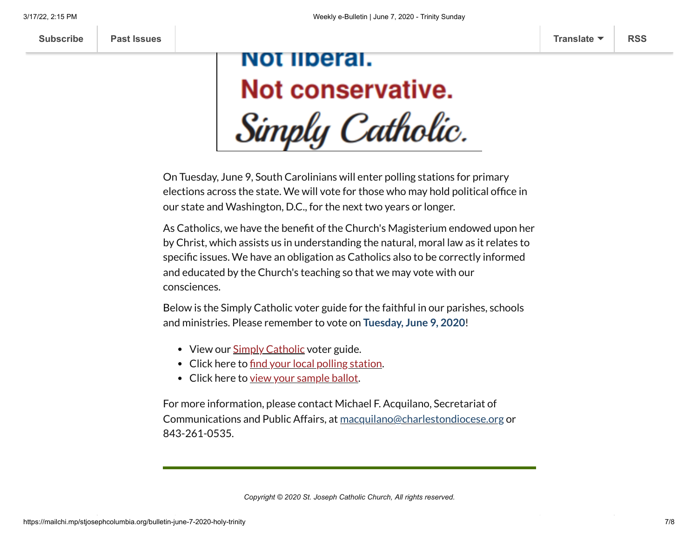# NOT liberal. Not conservative. Simply Catholic.

On Tuesday, June 9, South Carolinians will enter polling stations for primary elections across the state. We will vote for those who may hold political office in our state and Washington, D.C., for the next two years or longer.

As Catholics, we have the benefit of the Church's Magisterium endowed upon her by Christ, which assists us in understanding the natural, moral law as it relates to specific issues. We have an obligation as Catholics also to be correctly informed and educated by the Church's teaching so that we may vote with our consciences.

Below is the Simply Catholic voter guide for the faithful in our parishes, schools and ministries. Please remember to vote on **Tuesday, June 9, 2020**!

- View our **Simply [Catholic](http://r20.rs6.net/tn.jsp?f=001INvgsNffzq9SJLMLZhDdwifocm3gGvt8cqmal04qf5J-hZUqUITqwX9Juoupd9-mfcxDiYdevdGAB-BlxYxMZoP-19QE0CtvC9HQbNHQZ-v5qEg15Pfbn65KS7kJdLiNd6ypRuZlW1JXjiyPoMpgRhwxs4r8B-mrg1T8QQgO2jgptsJ90hhmklBji2X09z18nRG4FngL4PlZv9BeHbDb2_GYAyFA1up25CtAI9V-0lzi4tCfMYhflbGKWm5qVsww&c=8N37dgemmdOxwuTrF9-csg9Ephg-lNVV4j3AId8O_2OYEeigcqtyag==&ch=MVJtWLHgBdI7gZX4S4SD7BZHr5vkfIZg-OziJkD3xXkvuo2PI53rIA==)** voter guide.
- Click here to [find your](http://r20.rs6.net/tn.jsp?f=001INvgsNffzq9SJLMLZhDdwifocm3gGvt8cqmal04qf5J-hZUqUITqwWPc99cttP2Kxuxxtdo9cEPuRwC9LwrC0sk3_HdUjuwzZbRccbI9l86raMMVYvcT2nzotrMwXEO_DN1MOtpffwyqMyAZgxsxNRfA5nD0I1zYkLuyS5Yqh33bnLQ7UjOBQaE2fL2QqJZvrXUPqbghlSqfUEoqo-SryBR1doyPDdu2F5hzbVG8RG_Bcckfrf6nLuBU08-xbzUJCSrJz1NGvdSUOhPgNwfiFg==&c=8N37dgemmdOxwuTrF9-csg9Ephg-lNVV4j3AId8O_2OYEeigcqtyag==&ch=MVJtWLHgBdI7gZX4S4SD7BZHr5vkfIZg-OziJkD3xXkvuo2PI53rIA==) local polling station.
- Click here to view your [sample](http://r20.rs6.net/tn.jsp?f=001INvgsNffzq9SJLMLZhDdwifocm3gGvt8cqmal04qf5J-hZUqUITqwWPc99cttP2Kxuxxtdo9cEPuRwC9LwrC0sk3_HdUjuwzZbRccbI9l86raMMVYvcT2nzotrMwXEO_DN1MOtpffwyqMyAZgxsxNRfA5nD0I1zYkLuyS5Yqh33bnLQ7UjOBQaE2fL2QqJZvrXUPqbghlSqfUEoqo-SryBR1doyPDdu2F5hzbVG8RG_Bcckfrf6nLuBU08-xbzUJCSrJz1NGvdSUOhPgNwfiFg==&c=8N37dgemmdOxwuTrF9-csg9Ephg-lNVV4j3AId8O_2OYEeigcqtyag==&ch=MVJtWLHgBdI7gZX4S4SD7BZHr5vkfIZg-OziJkD3xXkvuo2PI53rIA==) ballot.

For more information, please contact Michael F. Acquilano, Secretariat of Communications and Public Affairs, at [macquilano@charlestondiocese.org](mailto:macquilano@charlestondiocese.org) or 843-261-0535.